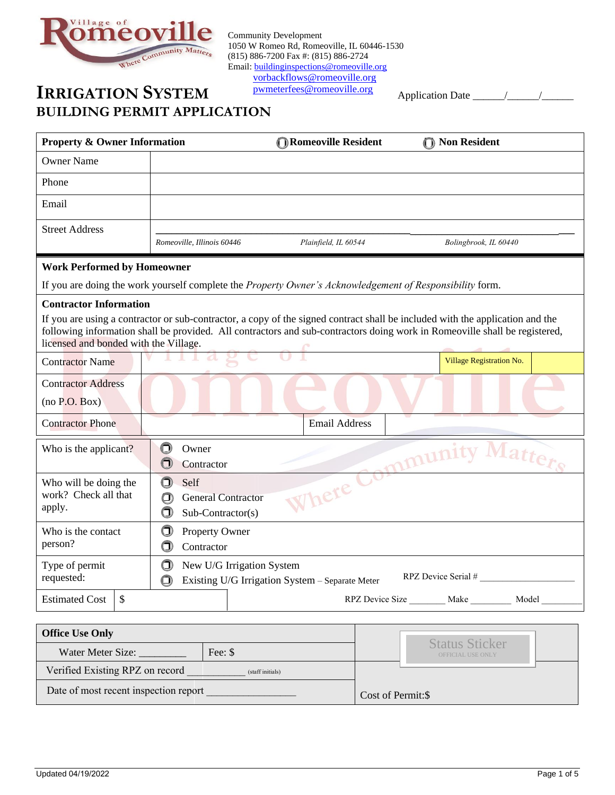

Community Development 1050 W Romeo Rd, Romeoville, IL 60446-1530 (815) 886-7200 Fax #: (815) 886-2724 Email: buildinginspections@romeoville.org vorbackflows@romeoville.org pwmeterfees@romeoville.org

## **IRRIGATION SYSTEM** Application Date \_\_\_\_\_\_/\_\_\_\_\_\_/\_\_\_\_\_\_ **BUILDING PERMIT APPLICATION**

| <b>Property &amp; Owner Information</b>                                                                                                                |                                                                                                                                                                                                                                                                                                                                       | Romeoville Resident                             | Non Resident                                         |  |  |
|--------------------------------------------------------------------------------------------------------------------------------------------------------|---------------------------------------------------------------------------------------------------------------------------------------------------------------------------------------------------------------------------------------------------------------------------------------------------------------------------------------|-------------------------------------------------|------------------------------------------------------|--|--|
| <b>Owner Name</b>                                                                                                                                      |                                                                                                                                                                                                                                                                                                                                       |                                                 |                                                      |  |  |
| Phone                                                                                                                                                  |                                                                                                                                                                                                                                                                                                                                       |                                                 |                                                      |  |  |
| Email                                                                                                                                                  |                                                                                                                                                                                                                                                                                                                                       |                                                 |                                                      |  |  |
| <b>Street Address</b>                                                                                                                                  |                                                                                                                                                                                                                                                                                                                                       |                                                 |                                                      |  |  |
|                                                                                                                                                        | Romeoville, Illinois 60446                                                                                                                                                                                                                                                                                                            | Plainfield, IL 60544                            | Bolingbrook, IL 60440                                |  |  |
| <b>Work Performed by Homeowner</b>                                                                                                                     |                                                                                                                                                                                                                                                                                                                                       |                                                 |                                                      |  |  |
|                                                                                                                                                        | If you are doing the work yourself complete the Property Owner's Acknowledgement of Responsibility form.                                                                                                                                                                                                                              |                                                 |                                                      |  |  |
|                                                                                                                                                        | <b>Contractor Information</b><br>If you are using a contractor or sub-contractor, a copy of the signed contract shall be included with the application and the<br>following information shall be provided. All contractors and sub-contractors doing work in Romeoville shall be registered,<br>licensed and bonded with the Village. |                                                 |                                                      |  |  |
| <b>Contractor Name</b>                                                                                                                                 |                                                                                                                                                                                                                                                                                                                                       |                                                 | Village Registration No.                             |  |  |
| <b>Contractor Address</b><br>(no P.O. Box)                                                                                                             |                                                                                                                                                                                                                                                                                                                                       |                                                 |                                                      |  |  |
| <b>Contractor Phone</b>                                                                                                                                |                                                                                                                                                                                                                                                                                                                                       | <b>Email Address</b>                            |                                                      |  |  |
| Who is the applicant?                                                                                                                                  | O<br>Owner<br>Contractor                                                                                                                                                                                                                                                                                                              |                                                 |                                                      |  |  |
| Where Community Matters<br>Who will be doing the<br>Self<br>work? Check all that<br><b>General Contractor</b><br>O<br>apply.<br>đ<br>Sub-Contractor(s) |                                                                                                                                                                                                                                                                                                                                       |                                                 |                                                      |  |  |
| O<br>Who is the contact<br>Property Owner<br>person?<br>Contractor                                                                                     |                                                                                                                                                                                                                                                                                                                                       |                                                 |                                                      |  |  |
| Type of permit<br>requested:                                                                                                                           | New U/G Irrigation System<br>σ<br>Ο                                                                                                                                                                                                                                                                                                   | Existing U/G Irrigation System - Separate Meter | RPZ Device Serial #                                  |  |  |
| \$<br><b>Estimated Cost</b>                                                                                                                            |                                                                                                                                                                                                                                                                                                                                       |                                                 | RPZ Device Size ________ Make _________ Model ______ |  |  |
|                                                                                                                                                        |                                                                                                                                                                                                                                                                                                                                       |                                                 |                                                      |  |  |

| <b>Office Use Only</b>                |                  |  |                                            |  |  |
|---------------------------------------|------------------|--|--------------------------------------------|--|--|
| Water Meter Size:                     | Fee: $$$         |  | <b>Status Sticker</b><br>OFFICIAL USE ONLY |  |  |
| Verified Existing RPZ on record       | (staff initials) |  |                                            |  |  |
| Date of most recent inspection report |                  |  | Cost of Permit: \$                         |  |  |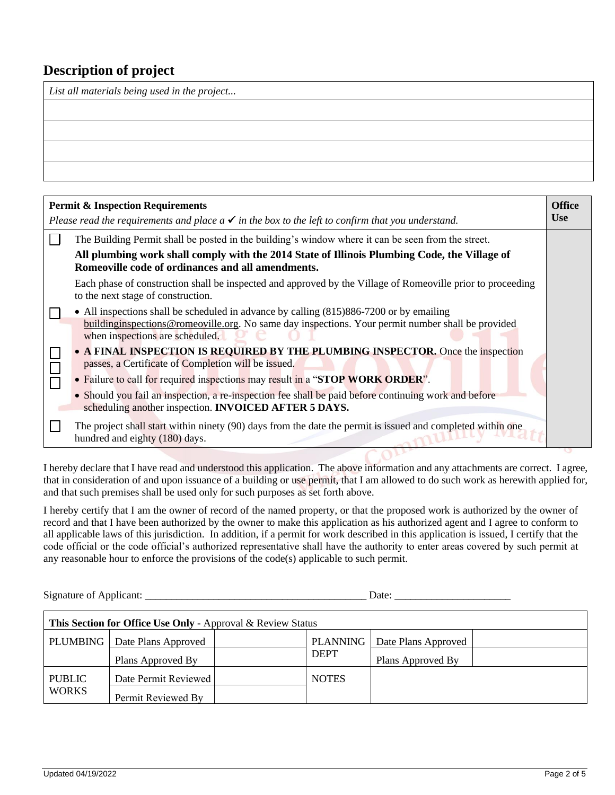## **Description of project**

| List all materials being used in the project |  |
|----------------------------------------------|--|
|                                              |  |
|                                              |  |
|                                              |  |
|                                              |  |

| <b>Permit &amp; Inspection Requirements</b>                                                                                                                                                                                     | <b>Office</b> |
|---------------------------------------------------------------------------------------------------------------------------------------------------------------------------------------------------------------------------------|---------------|
| Please read the requirements and place $a \checkmark$ in the box to the left to confirm that you understand.                                                                                                                    | <b>Use</b>    |
| The Building Permit shall be posted in the building's window where it can be seen from the street.                                                                                                                              |               |
| All plumbing work shall comply with the 2014 State of Illinois Plumbing Code, the Village of<br>Romeoville code of ordinances and all amendments.                                                                               |               |
| Each phase of construction shall be inspected and approved by the Village of Romeoville prior to proceeding<br>to the next stage of construction.                                                                               |               |
| • All inspections shall be scheduled in advance by calling (815)886-7200 or by emailing<br>buildinginspections@romeoville.org. No same day inspections. Your permit number shall be provided<br>when inspections are scheduled. |               |
| • A FINAL INSPECTION IS REQUIRED BY THE PLUMBING INSPECTOR. Once the inspection<br>passes, a Certificate of Completion will be issued.                                                                                          |               |
| • Failure to call for required inspections may result in a "STOP WORK ORDER".                                                                                                                                                   |               |
| • Should you fail an inspection, a re-inspection fee shall be paid before continuing work and before<br>scheduling another inspection. <b>INVOICED AFTER 5 DAYS.</b>                                                            |               |
| The project shall start within ninety (90) days from the date the permit is issued and completed within one<br>hundred and eighty (180) days.                                                                                   |               |
|                                                                                                                                                                                                                                 |               |

I hereby declare that I have read and understood this application. The above information and any attachments are correct. I agree, that in consideration of and upon issuance of a building or use permit, that I am allowed to do such work as herewith applied for, and that such premises shall be used only for such purposes as set forth above.

I hereby certify that I am the owner of record of the named property, or that the proposed work is authorized by the owner of record and that I have been authorized by the owner to make this application as his authorized agent and I agree to conform to all applicable laws of this jurisdiction. In addition, if a permit for work described in this application is issued, I certify that the code official or the code official's authorized representative shall have the authority to enter areas covered by such permit at any reasonable hour to enforce the provisions of the code(s) applicable to such permit.

Signature of Applicant: \_\_\_\_\_\_\_\_\_\_\_\_\_\_\_\_\_\_\_\_\_\_\_\_\_\_\_\_\_\_\_\_\_\_\_\_\_\_\_\_\_\_ Date: \_\_\_\_\_\_\_\_\_\_\_\_\_\_\_\_\_\_\_\_\_\_

| This Section for Office Use Only - Approval & Review Status |                                |  |              |                                |  |  |
|-------------------------------------------------------------|--------------------------------|--|--------------|--------------------------------|--|--|
|                                                             | PLUMBING   Date Plans Approved |  |              | PLANNING   Date Plans Approved |  |  |
|                                                             | Plans Approved By              |  | <b>DEPT</b>  | Plans Approved By              |  |  |
| <b>PUBLIC</b>                                               | Date Permit Reviewed           |  | <b>NOTES</b> |                                |  |  |
| <b>WORKS</b>                                                | Permit Reviewed By             |  |              |                                |  |  |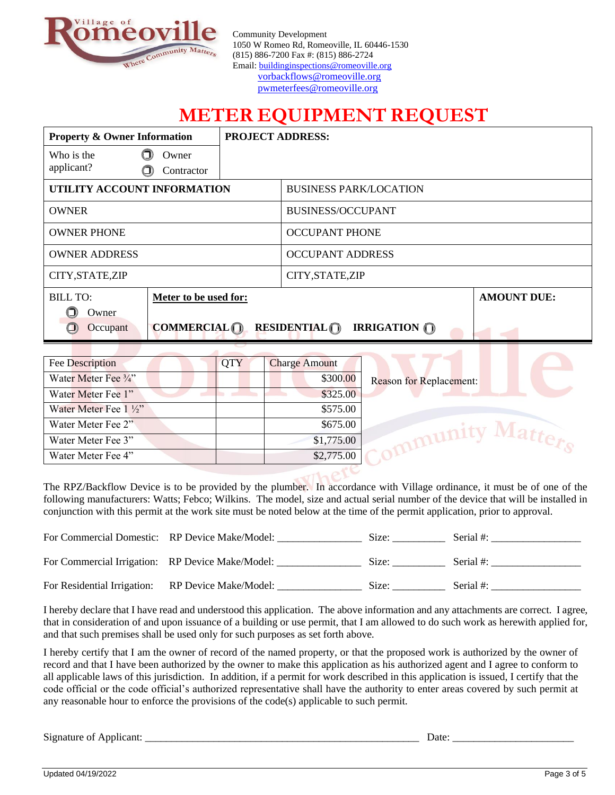

Community Development 1050 W Romeo Rd, Romeoville, IL 60446-1530 (815) 886-7200 Fax #: (815) 886-2724 Email: buildinginspections@romeoville.org vorbackflows@romeoville.org pwmeterfees@romeoville.org

## **METER EQUIPMENT REQUEST**

| <b>Property &amp; Owner Information</b>              | <b>PROJECT ADDRESS:</b>                   |  |  |  |
|------------------------------------------------------|-------------------------------------------|--|--|--|
| O<br>Who is the<br>Owner<br>applicant?<br>Contractor |                                           |  |  |  |
| UTILITY ACCOUNT INFORMATION                          | <b>BUSINESS PARK/LOCATION</b>             |  |  |  |
| <b>OWNER</b>                                         | <b>BUSINESS/OCCUPANT</b>                  |  |  |  |
| <b>OWNER PHONE</b>                                   | <b>OCCUPANT PHONE</b>                     |  |  |  |
| <b>OWNER ADDRESS</b>                                 | <b>OCCUPANT ADDRESS</b>                   |  |  |  |
| CITY, STATE, ZIP                                     | CITY, STATE, ZIP                          |  |  |  |
| <b>BILL TO:</b><br>Meter to be used for:             | <b>AMOUNT DUE:</b>                        |  |  |  |
| Owner<br><b>COMMERCIAL</b><br>Occupant               | <b>RESIDENTIAL</b><br><b>IRRIGATION</b> O |  |  |  |

| Fee Description                  | <b>QTY</b> | <b>Charge Amount</b> |                         |
|----------------------------------|------------|----------------------|-------------------------|
| Water Meter Fee $\frac{3}{4}$ "  |            | \$300.00             | Reason for Replacement: |
| Water Meter Fee 1"               |            | \$325.00             |                         |
| Water Meter Fee $1\frac{1}{2}$ " |            | \$575.00             |                         |
| Water Meter Fee 2"               |            | \$675.00             | $IV$ at                 |
| Water Meter Fee 3"               |            | \$1,775.00           | punity                  |
| Water Meter Fee 4"               |            | \$2,775.00           |                         |

The RPZ/Backflow Device is to be provided by the plumber. In accordance with Village ordinance, it must be of one of the following manufacturers: Watts; Febco; Wilkins. The model, size and actual serial number of the device that will be installed in conjunction with this permit at the work site must be noted below at the time of the permit application, prior to approval.

| For Commercial Domestic: RP Device Make/Model:   |                       | Size: | Serial #:    |
|--------------------------------------------------|-----------------------|-------|--------------|
| For Commercial Irrigation: RP Device Make/Model: |                       | Size: | Serial #:    |
| For Residential Irrigation:                      | RP Device Make/Model: | Size: | Serial $#$ : |

I hereby declare that I have read and understood this application. The above information and any attachments are correct. I agree, that in consideration of and upon issuance of a building or use permit, that I am allowed to do such work as herewith applied for, and that such premises shall be used only for such purposes as set forth above.

I hereby certify that I am the owner of record of the named property, or that the proposed work is authorized by the owner of record and that I have been authorized by the owner to make this application as his authorized agent and I agree to conform to all applicable laws of this jurisdiction. In addition, if a permit for work described in this application is issued, I certify that the code official or the code official's authorized representative shall have the authority to enter areas covered by such permit at any reasonable hour to enforce the provisions of the code(s) applicable to such permit.

Signature of Applicant: \_\_\_\_\_\_\_\_\_\_\_\_\_\_\_\_\_\_\_\_\_\_\_\_\_\_\_\_\_\_\_\_\_\_\_\_\_\_\_\_\_\_\_\_\_\_\_\_\_\_\_\_ Date: \_\_\_\_\_\_\_\_\_\_\_\_\_\_\_\_\_\_\_\_\_\_\_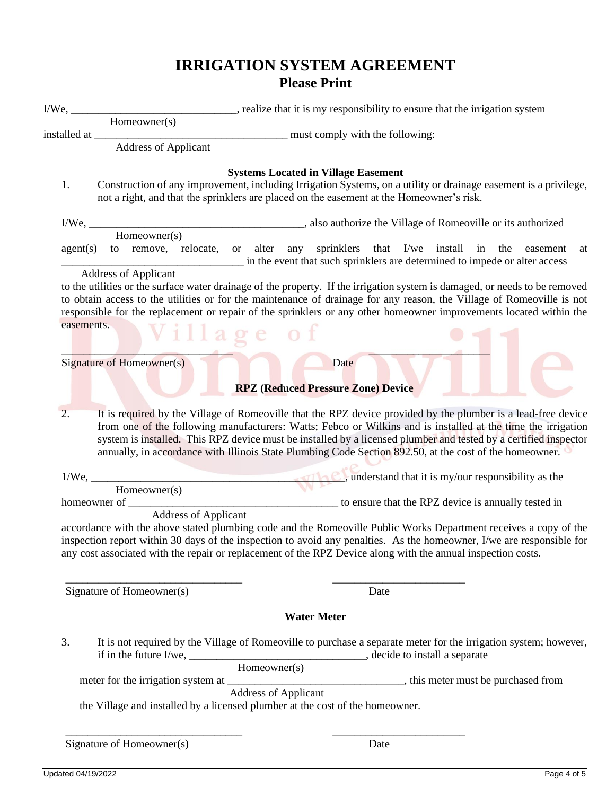## **IRRIGATION SYSTEM AGREEMENT Please Print**

|            | Homewner(s)                                                                                                                                                                                                                                                                                                                                |                                                                                                                                                                                                                                                                                                                                                                                                            |
|------------|--------------------------------------------------------------------------------------------------------------------------------------------------------------------------------------------------------------------------------------------------------------------------------------------------------------------------------------------|------------------------------------------------------------------------------------------------------------------------------------------------------------------------------------------------------------------------------------------------------------------------------------------------------------------------------------------------------------------------------------------------------------|
|            | <b>Address of Applicant</b>                                                                                                                                                                                                                                                                                                                | ___ must comply with the following:                                                                                                                                                                                                                                                                                                                                                                        |
|            |                                                                                                                                                                                                                                                                                                                                            |                                                                                                                                                                                                                                                                                                                                                                                                            |
| 1.         |                                                                                                                                                                                                                                                                                                                                            | <b>Systems Located in Village Easement</b><br>Construction of any improvement, including Irrigation Systems, on a utility or drainage easement is a privilege,<br>not a right, and that the sprinklers are placed on the easement at the Homeowner's risk.                                                                                                                                                 |
|            |                                                                                                                                                                                                                                                                                                                                            |                                                                                                                                                                                                                                                                                                                                                                                                            |
|            | Homewner(s)                                                                                                                                                                                                                                                                                                                                |                                                                                                                                                                                                                                                                                                                                                                                                            |
| agent(s)   | to remove, relocate, or alter                                                                                                                                                                                                                                                                                                              | any sprinklers that I/we install in the<br>easement<br>at<br>in the event that such sprinklers are determined to impede or alter access                                                                                                                                                                                                                                                                    |
|            | <b>Address of Applicant</b>                                                                                                                                                                                                                                                                                                                |                                                                                                                                                                                                                                                                                                                                                                                                            |
|            |                                                                                                                                                                                                                                                                                                                                            | to the utilities or the surface water drainage of the property. If the irrigation system is damaged, or needs to be removed<br>to obtain access to the utilities or for the maintenance of drainage for any reason, the Village of Romeoville is not<br>responsible for the replacement or repair of the sprinklers or any other homeowner improvements located within the                                 |
| easements. |                                                                                                                                                                                                                                                                                                                                            | Village of                                                                                                                                                                                                                                                                                                                                                                                                 |
|            | Signature of Homeowner(s)                                                                                                                                                                                                                                                                                                                  | Date<br><b>RPZ (Reduced Pressure Zone) Device</b>                                                                                                                                                                                                                                                                                                                                                          |
|            |                                                                                                                                                                                                                                                                                                                                            |                                                                                                                                                                                                                                                                                                                                                                                                            |
|            |                                                                                                                                                                                                                                                                                                                                            | from one of the following manufacturers: Watts; Febco or Wilkins and is installed at the time the irrigation<br>system is installed. This RPZ device must be installed by a licensed plumber and tested by a certified inspector<br>annually, in accordance with Illinois State Plumbing Code Section 892.50, at the cost of the homeowner.<br>$\Box$ , understand that it is my/our responsibility as the |
|            | $1/We$ , $\qquad \qquad$ $\qquad$ $\qquad$ $\qquad$ $\qquad$ $\qquad$ $\qquad$ $\qquad$ $\qquad$ $\qquad$ $\qquad$ $\qquad$ $\qquad$ $\qquad$ $\qquad$ $\qquad$ $\qquad$ $\qquad$ $\qquad$ $\qquad$ $\qquad$ $\qquad$ $\qquad$ $\qquad$ $\qquad$ $\qquad$ $\qquad$ $\qquad$ $\qquad$ $\qquad$ $\qquad$ $\qquad$ $\qquad$ $\qquad$ $\qquad$ |                                                                                                                                                                                                                                                                                                                                                                                                            |
|            |                                                                                                                                                                                                                                                                                                                                            |                                                                                                                                                                                                                                                                                                                                                                                                            |
|            | <b>Address of Applicant</b>                                                                                                                                                                                                                                                                                                                | accordance with the above stated plumbing code and the Romeoville Public Works Department receives a copy of the<br>inspection report within 30 days of the inspection to avoid any penalties. As the homeowner, I/we are responsible for<br>any cost associated with the repair or replacement of the RPZ Device along with the annual inspection costs.                                                  |
|            | Signature of Homeowner(s)                                                                                                                                                                                                                                                                                                                  | Date                                                                                                                                                                                                                                                                                                                                                                                                       |
|            |                                                                                                                                                                                                                                                                                                                                            | <b>Water Meter</b>                                                                                                                                                                                                                                                                                                                                                                                         |
| 3.         |                                                                                                                                                                                                                                                                                                                                            | It is not required by the Village of Romeoville to purchase a separate meter for the irrigation system; however,                                                                                                                                                                                                                                                                                           |
|            |                                                                                                                                                                                                                                                                                                                                            |                                                                                                                                                                                                                                                                                                                                                                                                            |
|            |                                                                                                                                                                                                                                                                                                                                            | meter for the irrigation system at<br>Address of Applicant  this meter must be purchased from<br>Address of Applicant                                                                                                                                                                                                                                                                                      |
|            |                                                                                                                                                                                                                                                                                                                                            | the Village and installed by a licensed plumber at the cost of the homeowner.                                                                                                                                                                                                                                                                                                                              |
|            | Signature of Homeowner(s)                                                                                                                                                                                                                                                                                                                  | Date                                                                                                                                                                                                                                                                                                                                                                                                       |
|            |                                                                                                                                                                                                                                                                                                                                            |                                                                                                                                                                                                                                                                                                                                                                                                            |